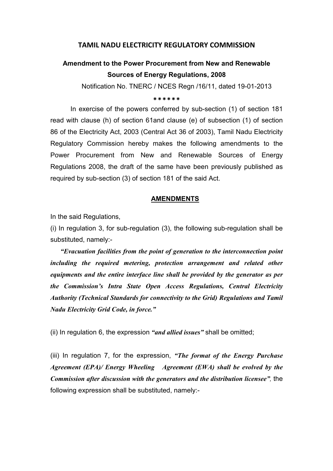### TAMIL NADU ELECTRICITY REGULATORY COMMISSION

# Amendment to the Power Procurement from New and Renewable Sources of Energy Regulations, 2008

Notification No. TNERC / NCES Regn /16/11, dated 19-01-2013

\*\*\*\*\*\*

 In exercise of the powers conferred by sub-section (1) of section 181 read with clause (h) of section 61and clause (e) of subsection (1) of section 86 of the Electricity Act, 2003 (Central Act 36 of 2003), Tamil Nadu Electricity Regulatory Commission hereby makes the following amendments to the Power Procurement from New and Renewable Sources of Energy Regulations 2008, the draft of the same have been previously published as required by sub-section (3) of section 181 of the said Act.

#### AMENDMENTS

In the said Regulations,

(i) In regulation 3, for sub-regulation (3), the following sub-regulation shall be substituted, namely:-

"Evacuation facilities from the point of generation to the interconnection point including the required metering, protection arrangement and related other equipments and the entire interface line shall be provided by the generator as per the Commission's Intra State Open Access Regulations, Central Electricity Authority (Technical Standards for connectivity to the Grid) Regulations and Tamil Nadu Electricity Grid Code, in force."

(ii) In regulation 6, the expression "and allied issues" shall be omitted;

(iii) In regulation 7, for the expression, "The format of the Energy Purchase Agreement (EPA)/ Energy Wheeling Agreement (EWA) shall be evolved by the Commission after discussion with the generators and the distribution licensee", the following expression shall be substituted, namely:-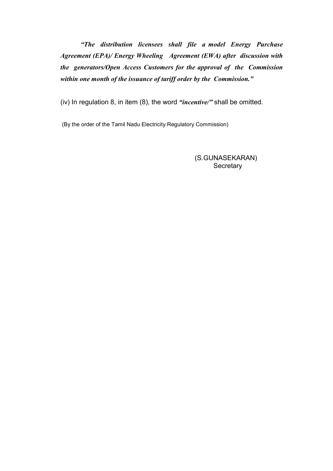"The distribution licensees shall file a model Energy Purchase Agreement (EPA)/ Energy Wheeling Agreement (EWA) after discussion with the generators/Open Access Customers for the approval of the Commission within one month of the issuance of tariff order by the Commission."

(iv) In regulation 8, in item  $(8)$ , the word "incentive/" shall be omitted.

(By the order of the Tamil Nadu Electricity Regulatory Commission)

 (S.GUNASEKARAN) **Secretary**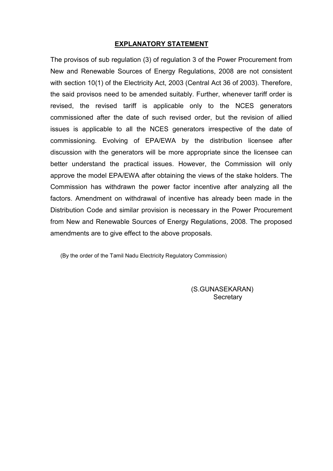### EXPLANATORY STATEMENT

The provisos of sub regulation (3) of regulation 3 of the Power Procurement from New and Renewable Sources of Energy Regulations, 2008 are not consistent with section 10(1) of the Electricity Act, 2003 (Central Act 36 of 2003). Therefore, the said provisos need to be amended suitably. Further, whenever tariff order is revised, the revised tariff is applicable only to the NCES generators commissioned after the date of such revised order, but the revision of allied issues is applicable to all the NCES generators irrespective of the date of commissioning. Evolving of EPA/EWA by the distribution licensee after discussion with the generators will be more appropriate since the licensee can better understand the practical issues. However, the Commission will only approve the model EPA/EWA after obtaining the views of the stake holders. The Commission has withdrawn the power factor incentive after analyzing all the factors. Amendment on withdrawal of incentive has already been made in the Distribution Code and similar provision is necessary in the Power Procurement from New and Renewable Sources of Energy Regulations, 2008. The proposed amendments are to give effect to the above proposals.

(By the order of the Tamil Nadu Electricity Regulatory Commission)

 (S.GUNASEKARAN) **Secretary**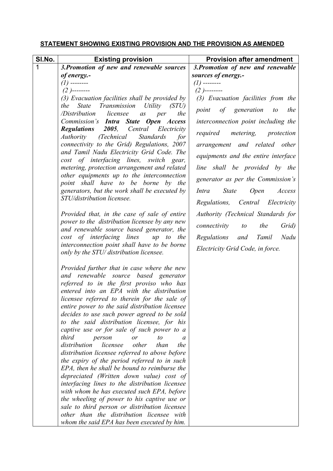## STATEMENT SHOWING EXISTING PROVISION AND THE PROVISION AS AMENDED

| SI.No.      | <b>Existing provision</b>                                                                                                                                                                                                                                                                                                                                                                                                                                                                                                                                                                                                                                                                                                                                                                                                                                                                                                                                                                                      | <b>Provision after amendment</b>                   |
|-------------|----------------------------------------------------------------------------------------------------------------------------------------------------------------------------------------------------------------------------------------------------------------------------------------------------------------------------------------------------------------------------------------------------------------------------------------------------------------------------------------------------------------------------------------------------------------------------------------------------------------------------------------------------------------------------------------------------------------------------------------------------------------------------------------------------------------------------------------------------------------------------------------------------------------------------------------------------------------------------------------------------------------|----------------------------------------------------|
| $\mathbf 1$ | 3. Promotion of new and renewable sources                                                                                                                                                                                                                                                                                                                                                                                                                                                                                                                                                                                                                                                                                                                                                                                                                                                                                                                                                                      | 3. Promotion of new and renewable                  |
|             | of energy.-                                                                                                                                                                                                                                                                                                                                                                                                                                                                                                                                                                                                                                                                                                                                                                                                                                                                                                                                                                                                    | sources of energy.-                                |
|             | (1) -------                                                                                                                                                                                                                                                                                                                                                                                                                                                                                                                                                                                                                                                                                                                                                                                                                                                                                                                                                                                                    | $(1)$ --------                                     |
|             | $(2)$ --------                                                                                                                                                                                                                                                                                                                                                                                                                                                                                                                                                                                                                                                                                                                                                                                                                                                                                                                                                                                                 | $(2)$ --------                                     |
|             | $(3)$ Evacuation facilities shall be provided by                                                                                                                                                                                                                                                                                                                                                                                                                                                                                                                                                                                                                                                                                                                                                                                                                                                                                                                                                               | (3) Evacuation facilities from the                 |
|             | the<br><i>State</i><br><i>Transmission Utility</i><br>(STU)<br>/Distribution<br>the<br>licensee<br>a <sub>S</sub><br>per                                                                                                                                                                                                                                                                                                                                                                                                                                                                                                                                                                                                                                                                                                                                                                                                                                                                                       | of<br>generation<br>the<br>point<br>$\mathfrak{c}$ |
|             | Commission's <b>Intra State Open Access</b>                                                                                                                                                                                                                                                                                                                                                                                                                                                                                                                                                                                                                                                                                                                                                                                                                                                                                                                                                                    | interconnection point including the                |
|             | <b>Regulations</b> 2005,<br>Central<br>Electricity<br><i>Authority</i><br>(Technical<br><b>Standards</b><br>for                                                                                                                                                                                                                                                                                                                                                                                                                                                                                                                                                                                                                                                                                                                                                                                                                                                                                                | required<br>metering,<br>protection                |
|             | connectivity to the Grid) Regulations, 2007                                                                                                                                                                                                                                                                                                                                                                                                                                                                                                                                                                                                                                                                                                                                                                                                                                                                                                                                                                    | arrangement and related other                      |
|             | and Tamil Nadu Electricity Grid Code. The<br>cost of interfacing lines, switch gear,                                                                                                                                                                                                                                                                                                                                                                                                                                                                                                                                                                                                                                                                                                                                                                                                                                                                                                                           | equipments and the entire interface                |
|             | metering, protection arrangement and related                                                                                                                                                                                                                                                                                                                                                                                                                                                                                                                                                                                                                                                                                                                                                                                                                                                                                                                                                                   | line shall be provided by the                      |
|             | other equipments up to the interconnection<br>point shall have to be borne by the                                                                                                                                                                                                                                                                                                                                                                                                                                                                                                                                                                                                                                                                                                                                                                                                                                                                                                                              | generator as per the Commission's                  |
|             | generators, but the work shall be executed by                                                                                                                                                                                                                                                                                                                                                                                                                                                                                                                                                                                                                                                                                                                                                                                                                                                                                                                                                                  | <b>Open</b><br><i>State</i><br>Access<br>Intra     |
|             | STU/distribution licensee.                                                                                                                                                                                                                                                                                                                                                                                                                                                                                                                                                                                                                                                                                                                                                                                                                                                                                                                                                                                     | Regulations,<br>Central<br>Electricity             |
|             | Provided that, in the case of sale of entire                                                                                                                                                                                                                                                                                                                                                                                                                                                                                                                                                                                                                                                                                                                                                                                                                                                                                                                                                                   | Authority (Technical Standards for                 |
|             | power to the distribution licensee by any new<br>and renewable source based generator, the                                                                                                                                                                                                                                                                                                                                                                                                                                                                                                                                                                                                                                                                                                                                                                                                                                                                                                                     | the<br>connectivity<br>Grid)<br>to                 |
|             | cost of interfacing lines up to the                                                                                                                                                                                                                                                                                                                                                                                                                                                                                                                                                                                                                                                                                                                                                                                                                                                                                                                                                                            | Tamil<br>Nadu<br>Regulations<br>and                |
|             | interconnection point shall have to be borne<br>only by the STU/ distribution licensee.                                                                                                                                                                                                                                                                                                                                                                                                                                                                                                                                                                                                                                                                                                                                                                                                                                                                                                                        | Electricity Grid Code, in force.                   |
|             | Provided further that in case where the new<br>and renewable<br>source based generator<br>referred to in the first proviso who has<br>entered into an EPA with the distribution<br>licensee referred to therein for the sale of<br>entire power to the said distribution licensee<br>decides to use such power agreed to be sold<br>to the said distribution licensee, for his<br>captive use or for sale of such power to a<br>third<br>to<br>person<br>or<br>a<br>distribution<br>licensee<br>other<br>than<br>the<br>distribution licensee referred to above before<br>the expiry of the period referred to in such<br>EPA, then he shall be bound to reimburse the<br>depreciated (Written down value) cost of<br>interfacing lines to the distribution licensee<br>with whom he has executed such EPA, before<br>the wheeling of power to his captive use or<br>sale to third person or distribution licensee<br>other than the distribution licensee with<br>whom the said EPA has been executed by him. |                                                    |